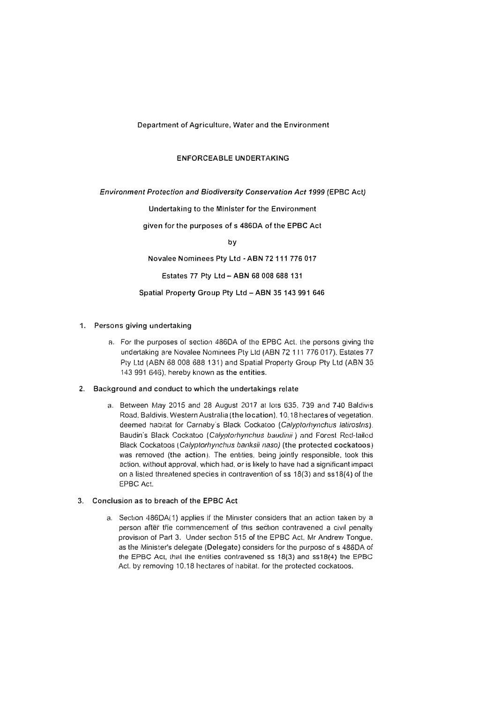Department of Agriculture, Water and the Environment

#### ENFORCEABLE UNDERTAKING

*Environment Protection and Biodiversity Conservation Act 1999* (EPBC Act)

Undertaking to the Minister for the Environment

given for the purposes of s 486DA of the EPBC Act

by

Novalee Nominees Pty Ltd - ABN 72 111 776 017

Estates 77 Pty Ltd - **ABN** 68 008 688 131

#### Spatial Property Group Pty Ltd **-ABN** 35 143 991 646

# 1. Persons giving undertaking

a. For the purposes of section 486DA of the EPBC Act, the persons giving the undertaking are Novalee Nominees Ply Ltd (ABN 72 111 776 017). Estates 77 Pty Ltd (ABN 68 008 688 131) and Spatial Property Group Pty Ltd (ABN 35 143 991 646). hereby known as the entities.

# **2. Background and conduct to which the undertakings relate**

a. Between May 2015 and 28 August 2017 at lors 635. 739 and 7 40 Baldivis Road. Baldivis. Western Australia (the location). 10.18 hectares of vegetation. deemed habitat for Carnaby's Black Cockatoo *(Calyptorhynchus latirostris)*. Baudin's Black Cockatoo *(Calyp/orhynclws baudinii)* and Forest Rccl-lailed Black Cockatoos ( *Ca/yptorhynchus banksii naso)* (the protected cockatoos) was removed (the action). The entities. being jointly responsible. took this action. without approval. which had. or is likely to have had a significant impact on a listed threatened species in contravention of ss  $18(3)$  and ss $18(4)$  of the EPBC Aci.

# **3. Conclusion as to breach of the EPBC Act**

a. Section 486DA(1) applies if the Minister considers that an action taken by a person after the commencement of this section contravened a civil penalty provision of Part 3. Under section 515 of the EPBC Act. Mr Andrew Tongue. as the Minister's delegate (Delegate) considers for the purpose *of* s 486DA of the EPBC Act, that the entities contravened ss  $18(3)$  and ss $18(4)$  the EPBC Acl. by removing 10.18 hectares of habilat. for the protected cockatoos.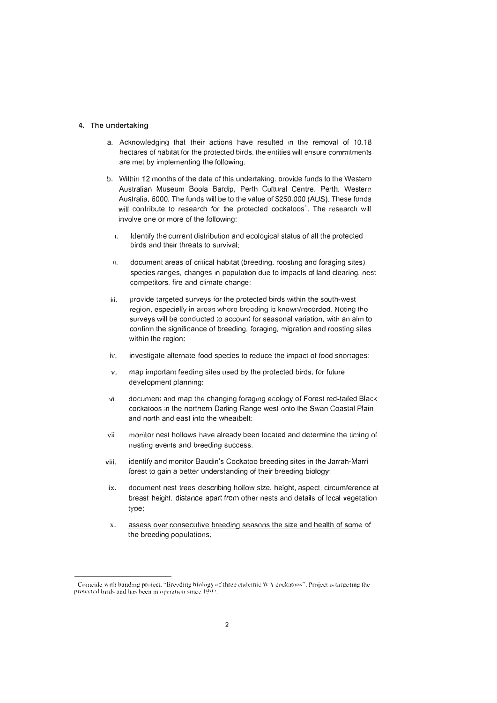#### **4. The undertaking**

- a. Acknowledging that their actions have resulted in the removal of 10.18 hectares of habitat for the protected birds. the entities will ensure commitments are met by implementing the following:
- b. Within 12 months of the date of this undertaking. provide funds lo the Western Australian Museum Boola Bardip, Perth Cultural Centre, Perth. Westerr. Australia, 6000. The funds will be to the value of \$250.000 (AUS). These funds will contribute to research for the protected cockatoos<sup>'</sup>. The research will involve one or more of the following:
	- i. Identify the current distribution and ecological status of all the protected birds and their threats to survival:
	- 1i. document areas of criiical habitat (breeding. roosting and foraging sites). species ranges, changes in population due to impacts of land clearing. nest competitors. fire and climate change:
- iii. provide targeted surveys for the protected birds within the south-west region, especially in areas where breeding is known/recorded. Moling the surveys will be conducted to account for seasonal variation, with an aim to confirm the significance of breeding, foraging, migration and roosting sites within the region:
- iv. investigate alternate food species to reduce the impact of food shortages:
- *v.* map important feeding sites used by the protected birds, for future development planning:
- vi. document and map the changing foraging ecology of Forest red-tailed Black cockatoos in the northern Darling Range west onto lhe Swan Coastal Plain and north and east into the wheatbelt:
- vii. monitor nest hollows have already been located and determine the timing of nesting events and breeding success;
- viii. identify and monitor Baudin's Cockatoo breeding sites in the Jarrah-Marri forest to gain a better understanding of their breeding biology:
- ix. document nest trees describing hollow size, height, aspect, circumference at breast height. distance apart from other nests and details of local vegetation type:
- x. assess over consecutive breeding seasons the size and health of some of the breeding populations:

Comeide with banding project. "Breeding biology of three endemic WA coekatoos". Project is targeting the protected birds and has been in operation since 1992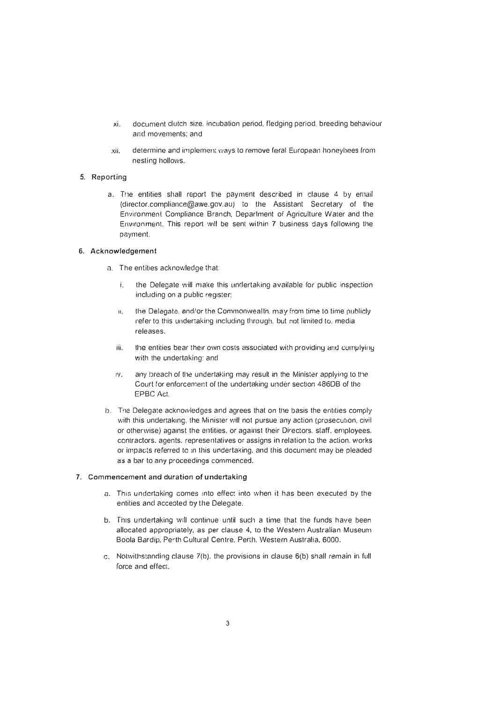- xi. document clutch size. incubation period, fledging period. breeding behaviour and movements; and
- xii. determine and implement ways lo remove feral European honeybees rrom nesting hollows.

# 5. Reporting

a. The entities shall report the payment described in clause 4 by email (director.compliance@awe.gov.au) to the Assistant Secretary of the Environment Compliance Branch, Department of Agriculture Water and the Environment. This report will be sent within 7 business days following the payment.

## *6. Acknowledgement*

- a. The entities acknowledge that:
	- i. the Delegate will make this undertaking available for public inspection including on a public register:
	- 11. the Delegate. and/or the Commonwealth. may from time to time publicly refer to this undertaking including through. but not limited to. media releases.
	- iii. the entities bear their own costs associated with providing and complying with the undertaking: and
	- iv. any breach of the undertaking may result in the Minister applying to the Court for enforcement or the undertaking under section 4860B or the EPBC Act.
- b. The Delegate acknowledges and agrees that on the basis the entities comply with this undertaking, the Minister will not pursue any action (prosecution, civil or otherwise) against the entities. or against their Directors. staff. employees. contractors. agents. representatives or assigns in relation to the action. works or impacts referred to 1n this undertaking. and this document may be pleaded as a bar to any proceedings commenced.

### 7. Commencement and duration of undertaking

- a. This undertaking comes into effect into when it has been executed by the entities and accepted by the Delegate.
- b. This undertaking will continue until such a time that the funds have been allocated appropriately, as per clause 4, to the Western Australian Museum Boola Bardip, Perth Cultural Centre. Penh. Western Australia, 6000.
- c. Notwithstanding clause  $7(b)$ . the provisions in clause  $6(b)$  shall remain in full force and effect.